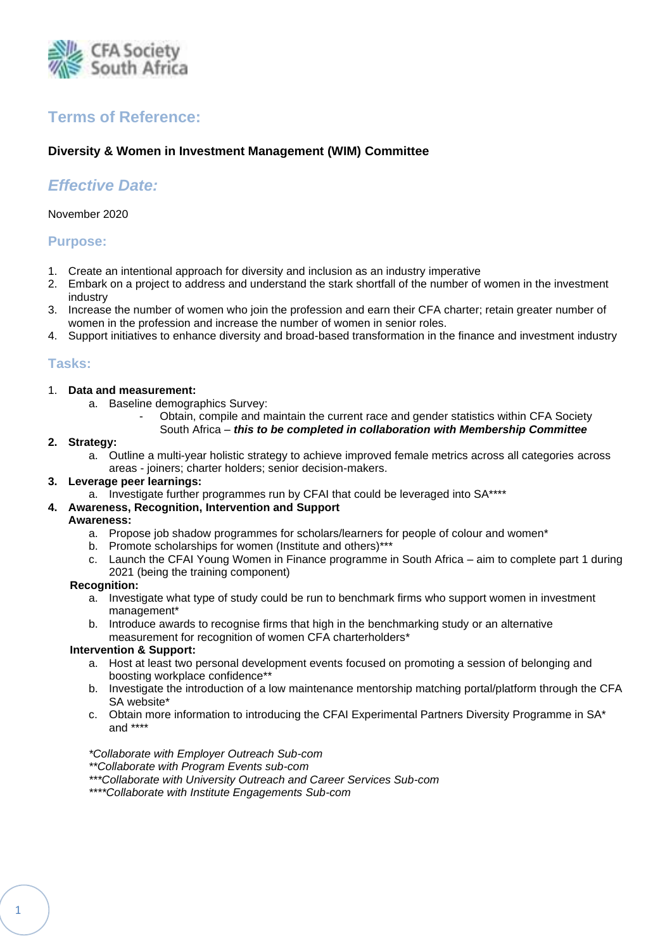

# **Terms of Reference:**

# **Diversity & Women in Investment Management (WIM) Committee**

# *Effective Date:*

November 2020

# **Purpose:**

- 1. Create an intentional approach for diversity and inclusion as an industry imperative
- 2. Embark on a project to address and understand the stark shortfall of the number of women in the investment industry
- 3. Increase the number of women who join the profession and earn their CFA charter; retain greater number of women in the profession and increase the number of women in senior roles.
- 4. Support initiatives to enhance diversity and broad-based transformation in the finance and investment industry

# **Tasks:**

- 1. **Data and measurement:** 
	- a. Baseline demographics Survey:
		- Obtain, compile and maintain the current race and gender statistics within CFA Society
		- South Africa *– this to be completed in collaboration with Membership Committee*

#### **2. Strategy:**

a. Outline a multi-year holistic strategy to achieve improved female metrics across all categories across areas - joiners; charter holders; senior decision-makers.

## **3. Leverage peer learnings:**

a. Investigate further programmes run by CFAI that could be leveraged into SA\*\*\*\*

#### **4. Awareness, Recognition, Intervention and Support**

#### **Awareness:**

- a. Propose job shadow programmes for scholars/learners for people of colour and women\*
- b. Promote scholarships for women (Institute and others)\*\*\*
- c. Launch the CFAI Young Women in Finance programme in South Africa aim to complete part 1 during 2021 (being the training component)

#### **Recognition:**

- a. Investigate what type of study could be run to benchmark firms who support women in investment management\*
- b. Introduce awards to recognise firms that high in the benchmarking study or an alternative measurement for recognition of women CFA charterholders\*

#### **Intervention & Support:**

- a. Host at least two personal development events focused on promoting a session of belonging and boosting workplace confidence\*\*
- b. Investigate the introduction of a low maintenance mentorship matching portal/platform through the CFA SA website\*
- c. Obtain more information to introducing the CFAI Experimental Partners Diversity Programme in SA\* and \*\*\*\*

## *\*Collaborate with Employer Outreach Sub-com*

- *\*\*Collaborate with Program Events sub-com*
- *\*\*\*Collaborate with University Outreach and Career Services Sub-com*
- *\*\*\*\*Collaborate with Institute Engagements Sub-com*